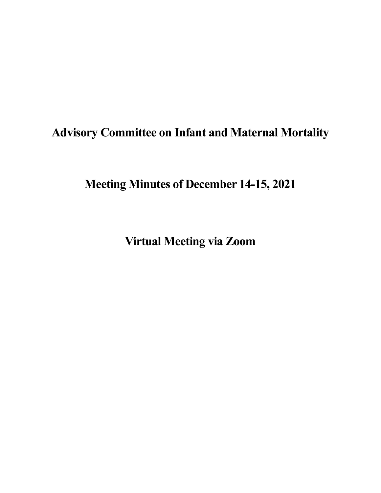# **Advisory Committee on Infant and Maternal Mortality**

**Meeting Minutes of December 14-15, 2021** 

**Virtual Meeting via Zoom**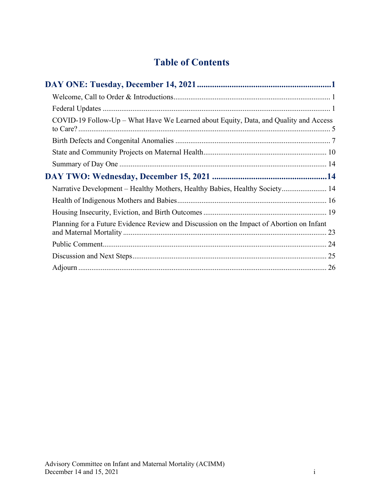## **Table of Contents**

| COVID-19 Follow-Up – What Have We Learned about Equity, Data, and Quality and Access     |  |
|------------------------------------------------------------------------------------------|--|
|                                                                                          |  |
|                                                                                          |  |
|                                                                                          |  |
|                                                                                          |  |
| Narrative Development – Healthy Mothers, Healthy Babies, Healthy Society 14              |  |
|                                                                                          |  |
|                                                                                          |  |
| Planning for a Future Evidence Review and Discussion on the Impact of Abortion on Infant |  |
|                                                                                          |  |
|                                                                                          |  |
|                                                                                          |  |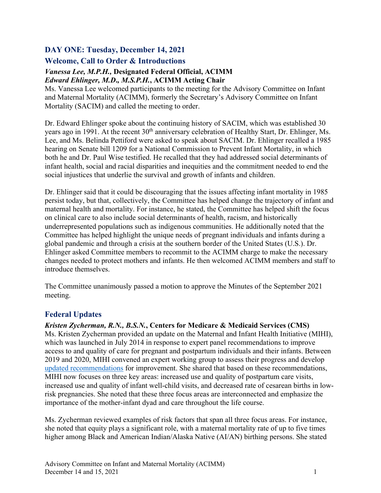## <span id="page-2-0"></span>**DAY ONE: Tuesday, December 14, 2021**

## <span id="page-2-1"></span>**Welcome, Call to Order & Introductions**

#### *Vanessa Lee, M.P.H.,* **Designated Federal Official, ACIMM**  *Edward Ehlinger, M.D***.***, M.S.P.H.***, ACIMM Acting Chair**

Ms. Vanessa Lee welcomed participants to the meeting for the Advisory Committee on Infant and Maternal Mortality (ACIMM), formerly the Secretary's Advisory Committee on Infant Mortality (SACIM) and called the meeting to order.

Dr. Edward Ehlinger spoke about the continuing history of SACIM, which was established 30 years ago in 1991. At the recent 30<sup>th</sup> anniversary celebration of Healthy Start, Dr. Ehlinger, Ms. Lee, and Ms. Belinda Pettiford were asked to speak about SACIM. Dr. Ehlinger recalled a 1985 hearing on Senate bill 1209 for a National Commission to Prevent Infant Mortality, in which both he and Dr. Paul Wise testified. He recalled that they had addressed social determinants of infant health, social and racial disparities and inequities and the commitment needed to end the social injustices that underlie the survival and growth of infants and children.

Dr. Ehlinger said that it could be discouraging that the issues affecting infant mortality in 1985 persist today, but that, collectively, the Committee has helped change the trajectory of infant and maternal health and mortality. For instance, he stated, the Committee has helped shift the focus on clinical care to also include social determinants of health, racism, and historically underrepresented populations such as indigenous communities. He additionally noted that the Committee has helped highlight the unique needs of pregnant individuals and infants during a global pandemic and through a crisis at the southern border of the United States (U.S.). Dr. Ehlinger asked Committee members to recommit to the ACIMM charge to make the necessary changes needed to protect mothers and infants. He then welcomed ACIMM members and staff to introduce themselves.

The Committee unanimously passed a motion to approve the Minutes of the September 2021 meeting.

## <span id="page-2-2"></span>**Federal Updates**

## *Kristen Zycherman, R.N., B.S.N.***, Centers for Medicare & Medicaid Services (CMS)**

Ms. Kristen Zycherman provided an update on the Maternal and Infant Health Initiative (MIHI), which was launched in July 2014 in response to expert panel recommendations to improve access to and quality of care for pregnant and postpartum individuals and their infants. Between 2019 and 2020, MIHI convened an expert working group to assess their progress and develop [updated recommendations](https://www.medicaid.gov/medicaid/quality-of-care/improvement-initiatives/maternal-infant-health-care-quality/index.html) for improvement. She shared that based on these recommendations, MIHI now focuses on three key areas: increased use and quality of postpartum care visits, increased use and quality of infant well-child visits, and decreased rate of cesarean births in lowrisk pregnancies. She noted that these three focus areas are interconnected and emphasize the importance of the mother-infant dyad and care throughout the life course.

Ms. Zycherman reviewed examples of risk factors that span all three focus areas. For instance, she noted that equity plays a significant role, with a maternal mortality rate of up to five times higher among Black and American Indian/Alaska Native (AI/AN) birthing persons. She stated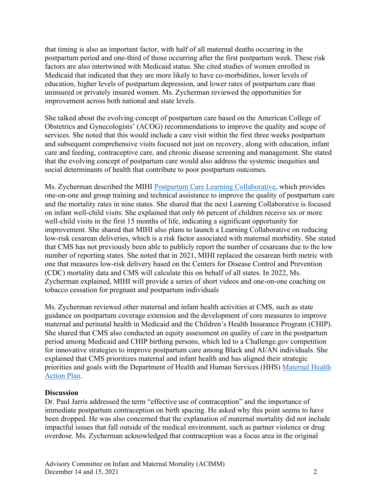that timing is also an important factor, with half of all maternal deaths occurring in the postpartum period and one-third of those occurring after the first postpartum week. These risk factors are also intertwined with Medicaid status. She cited studies of women enrolled in Medicaid that indicated that they are more likely to have co-morbidities, lower levels of education, higher levels of postpartum depression, and lower rates of postpartum care than uninsured or privately insured women. Ms. Zycherman reviewed the opportunities for improvement across both national and state levels.

She talked about the evolving concept of postpartum care based on the American College of Obstetrics and Gynecologists' (ACOG) recommendations to improve the quality and scope of services. She noted that this would include a care visit within the first three weeks postpartum and subsequent comprehensive visits focused not just on recovery, along with education, infant care and feeding, contraceptive care, and chronic disease screening and management. She stated that the evolving concept of postpartum care would also address the systemic inequities and social determinants of health that contribute to poor postpartum outcomes.

Ms. Zycherman described the MIHI [Postpartum Care Learning Collaborative,](https://www.medicaid.gov/medicaid/quality-of-care/improvement-initiatives/maternal-infant-health/quality-improvement/postpartum-care/index.html) which provides one-on-one and group training and technical assistance to improve the quality of postpartum care and the mortality rates in nine states. She shared that the next Learning Collaborative is focused on infant well-child visits. She explained that only 66 percent of children receive six or more well-child visits in the first 15 months of life, indicating a significant opportunity for improvement. She shared that MIHI also plans to launch a Learning Collaborative on reducing low-risk cesarean deliveries, which is a risk factor associated with maternal morbidity. She stated that CMS has not previously been able to publicly report the number of cesareans due to the low number of reporting states. She noted that in 2021, MIHI replaced the cesarean birth metric with one that measures low-risk delivery based on the Centers for Disease Control and Prevention (CDC) mortality data and CMS will calculate this on behalf of all states. In 2022, Ms. Zycherman explained, MIHI will provide a series of short videos and one-on-one coaching on tobacco cessation for pregnant and postpartum individuals

Ms. Zycherman reviewed other maternal and infant health activities at CMS, such as state guidance on postpartum coverage extension and the development of core measures to improve maternal and perinatal health in Medicaid and the Children's Health Insurance Program (CHIP). She shared that CMS also conducted an equity assessment on quality of care in the postpartum period among Medicaid and CHIP birthing persons, which led to a Challenge.gov competition for innovative strategies to improve postpartum care among Black and AI/AN individuals. She explained that CMS prioritizes maternal and infant health and has aligned their strategic priorities and goals with the Department of Health and Human Services (HHS) [Maternal Health](https://aspe.hhs.gov/sites/default/files/private/aspe-files/264076/healthy-women-healthy-pregnancies-healthy-future-action-plan_0.pdf)  [Action Plan.](https://aspe.hhs.gov/sites/default/files/private/aspe-files/264076/healthy-women-healthy-pregnancies-healthy-future-action-plan_0.pdf)

#### **Discussion**

Dr. Paul Jarris addressed the term "effective use of contraception" and the importance of immediate postpartum contraception on birth spacing. He asked why this point seems to have been dropped. He was also concerned that the explanation of maternal mortality did not include impactful issues that fall outside of the medical environment, such as partner violence or drug overdose. Ms. Zycherman acknowledged that contraception was a focus area in the original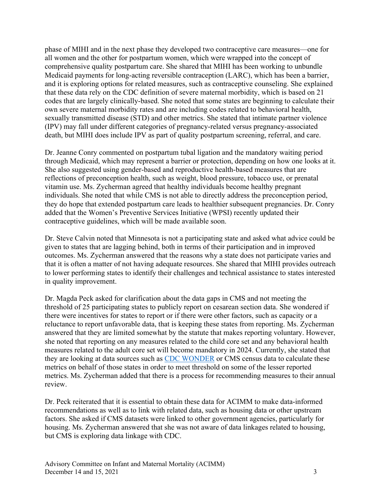phase of MIHI and in the next phase they developed two contraceptive care measures—one for all women and the other for postpartum women, which were wrapped into the concept of comprehensive quality postpartum care. She shared that MIHI has been working to unbundle Medicaid payments for long-acting reversible contraception (LARC), which has been a barrier, and it is exploring options for related measures, such as contraceptive counseling. She explained that these data rely on the CDC definition of severe maternal morbidity, which is based on 21 codes that are largely clinically-based. She noted that some states are beginning to calculate their own severe maternal morbidity rates and are including codes related to behavioral health, sexually transmitted disease (STD) and other metrics. She stated that intimate partner violence (IPV) may fall under different categories of pregnancy-related versus pregnancy-associated death, but MIHI does include IPV as part of quality postpartum screening, referral, and care.

Dr. Jeanne Conry commented on postpartum tubal ligation and the mandatory waiting period through Medicaid, which may represent a barrier or protection, depending on how one looks at it. She also suggested using gender-based and reproductive health-based measures that are reflections of preconception health, such as weight, blood pressure, tobacco use, or prenatal vitamin use. Ms. Zycherman agreed that healthy individuals become healthy pregnant individuals. She noted that while CMS is not able to directly address the preconception period, they do hope that extended postpartum care leads to healthier subsequent pregnancies. Dr. Conry added that the Women's Preventive Services Initiative (WPSI) recently updated their contraceptive guidelines, which will be made available soon.

Dr. Steve Calvin noted that Minnesota is not a participating state and asked what advice could be given to states that are lagging behind, both in terms of their participation and in improved outcomes. Ms. Zycherman answered that the reasons why a state does not participate varies and that it is often a matter of not having adequate resources. She shared that MIHI provides outreach to lower performing states to identify their challenges and technical assistance to states interested in quality improvement.

Dr. Magda Peck asked for clarification about the data gaps in CMS and not meeting the threshold of 25 participating states to publicly report on cesarean section data. She wondered if there were incentives for states to report or if there were other factors, such as capacity or a reluctance to report unfavorable data, that is keeping these states from reporting. Ms. Zycherman answered that they are limited somewhat by the statute that makes reporting voluntary. However, she noted that reporting on any measures related to the child core set and any behavioral health measures related to the adult core set will become mandatory in 2024. Currently, she stated that they are looking at data sources such as [CDC WONDER](https://wonder.cdc.gov/) or CMS census data to calculate these metrics on behalf of those states in order to meet threshold on some of the lesser reported metrics. Ms. Zycherman added that there is a process for recommending measures to their annual review.

Dr. Peck reiterated that it is essential to obtain these data for ACIMM to make data-informed recommendations as well as to link with related data, such as housing data or other upstream factors. She asked if CMS datasets were linked to other government agencies, particularly for housing. Ms. Zycherman answered that she was not aware of data linkages related to housing, but CMS is exploring data linkage with CDC.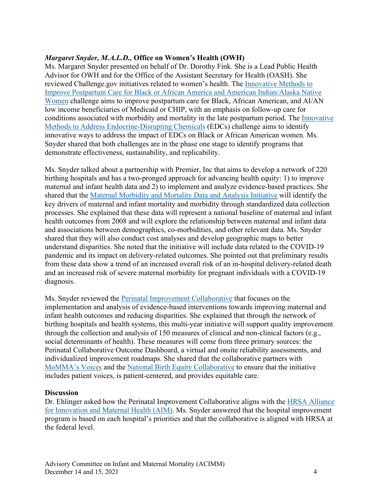#### *Margaret Snyder, M.A.L.D.,* **Office on Women's Health (OWH)**

Ms. Margaret Snyder presented on behalf of Dr. Dorothy Fink. She is a Lead Public Health Advisor for OWH and for the Office of the Assistant Secretary for Health (OASH). She reviewed Challenge.gov initiatives related to women's health. The [Innovative Methods to](https://www.challenge.gov/?challenge=hhs-postpartum-equity-in-care-challenge)  [Improve Postpartum Care for Black or African America and American Indian/Alaska Native](https://www.challenge.gov/?challenge=hhs-postpartum-equity-in-care-challenge)  [Women](https://www.challenge.gov/?challenge=hhs-postpartum-equity-in-care-challenge) challenge aims to improve postpartum care for Black, African American, and AI/AN low income beneficiaries of Medicaid or CHIP, with an emphasis on follow-up care for conditions associated with morbidity and mortality in the late postpartum period. The [Innovative](https://www.challenge.gov/?challenge=hhs-endocrine-disrupting-chemicals-innovator-award-competition)  [Methods to Address Endocrine-Disrupting Chemicals](https://www.challenge.gov/?challenge=hhs-endocrine-disrupting-chemicals-innovator-award-competition) (EDCs) challenge aims to identify innovative ways to address the impact of EDCs on Black or African American women. Ms. Snyder shared that both challenges are in the phase one stage to identify programs that demonstrate effectiveness, sustainability, and replicability.

Ms. Snyder talked about a partnership with Premier, Inc that aims to develop a network of 220 birthing hospitals and has a two-pronged approach for advancing health equity: 1) to improve maternal and infant health data and 2) to implement and analyze evidence-based practices. She shared that the [Maternal Morbidity and Mortality Data and Analysis Initiative](https://www.womenshealth.gov/about-us/what-we-do/programs-and-activities/owh-maternal-morbidity-and-mortality-data-and-analysis#:%7E:text=The%20Maternal%20Morbidity%20and%20Mortality,maternal%20and%20infant%20health%20outcomes.) will identify the key drivers of maternal and infant mortality and morbidity through standardized data collection processes. She explained that these data will represent a national baseline of maternal and infant health outcomes from 2008 and will explore the relationship between maternal and infant data and associations between demographics, co-morbidities, and other relevant data. Ms. Snyder shared that they will also conduct cost analyses and develop geographic maps to better understand disparities. She noted that the initiative will include data related to the COVID-19 pandemic and its impact on delivery-related outcomes. She pointed out that preliminary results from these data show a trend of an increased overall risk of an in-hospital delivery-related death and an increased risk of severe maternal morbidity for pregnant individuals with a COVID-19 diagnosis.

Ms. Snyder reviewed the [Perinatal Improvement Collaborative](https://www.womenshealth.gov/about-us/work-us/perinatal-collaborative-map) that focuses on the implementation and analysis of evidence-based interventions towards improving maternal and infant health outcomes and reducing disparities. She explained that through the network of birthing hospitals and health systems, this multi-year initiative will support quality improvement through the collection and analysis of 150 measures of clinical and non-clinical factors (e.g., social determinants of health). These measures will come from three primary sources: the Perinatal Collaborative Outcome Dashboard, a virtual and onsite reliability assessments, and individualized improvement roadmaps. She shared that the collaborative partners with [MoMMA's Voices](https://www.mommasvoices.org/) and the [National Birth Equity Collaborative](https://birthequity.org/) to ensure that the initiative includes patient voices, is patient-centered, and provides equitable care.

#### **Discussion**

Dr. Ehlinger asked how the Perinatal Improvement Collaborative aligns with the HRSA Alliance [for Innovation and Maternal Health \(AIM\).](https://www.hrsa.gov/grants/find-funding/hrsa-19-109#:%7E:text=The%20Alliance%20for%20Innovation%20on,AIM)%20%E2%80%93%20Community%20Care%20Initiative%3A&text=Builds%20on%20the%20foundational%20work,hospital%20and%20birthing%20facility%20settings.) Ms. Snyder answered that the hospital improvement program is based on each hospital's priorities and that the collaborative is aligned with HRSA at the federal level.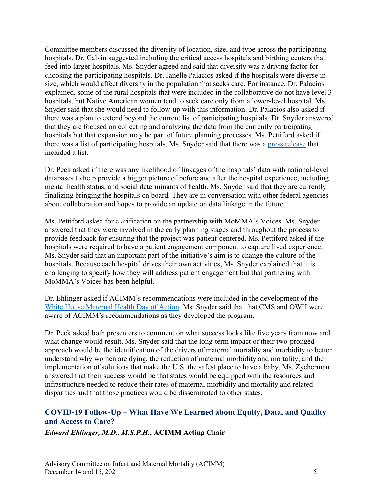Committee members discussed the diversity of location, size, and type across the participating hospitals. Dr. Calvin suggested including the critical access hospitals and birthing centers that feed into larger hospitals. Ms. Snyder agreed and said that diversity was a driving factor for choosing the participating hospitals. Dr. Janelle Palacios asked if the hospitals were diverse in size, which would affect diversity in the population that seeks care. For instance, Dr. Palacios explained, some of the rural hospitals that were included in the collaborative do not have level 3 hospitals, but Native American women tend to seek care only from a lower-level hospital. Ms. Snyder said that she would need to follow-up with this information. Dr. Palacios also asked if there was a plan to extend beyond the current list of participating hospitals. Dr. Snyder answered that they are focused on collecting and analyzing the data from the currently participating hospitals but that expansion may be part of future planning processes. Ms. Pettiford asked if there was a list of participating hospitals. Ms. Snyder said that there was a [press release](https://www.hhs.gov/about/news/2021/11/08/hhs-announces-200-hospitals-participating-new-maternal-and-infant-care-collaborative.html) that included a list.

Dr. Peck asked if there was any likelihood of linkages of the hospitals' data with national-level databases to help provide a bigger picture of before and after the hospital experience, including mental health status, and social determinants of health. Ms. Snyder said that they are currently finalizing bringing the hospitals on board. They are in conversation with other federal agencies about collaboration and hopes to provide an update on data linkage in the future.

Ms. Pettiford asked for clarification on the partnership with MoMMA's Voices. Ms. Snyder answered that they were involved in the early planning stages and throughout the process to provide feedback for ensuring that the project was patient-centered. Ms. Pettiford asked if the hospitals were required to have a patient engagement component to capture lived experience. Ms. Snyder said that an important part of the initiative's aim is to change the culture of the hospitals. Because each hospital drives their own activities, Ms. Snyder explained that it is challenging to specify how they will address patient engagement but that partnering with MoMMA's Voices has been helpful.

Dr. Ehlinger asked if ACIMM's recommendations were included in the development of the [White House Maternal Health Day of Action.](https://www.whitehouse.gov/briefing-room/statements-releases/2021/12/07/fact-sheet-vice-president-kamala-harris-announces-call-to-action-to-reduce-maternal-mortality-and-morbidity/) Ms. Snyder said that that CMS and OWH were aware of ACIMM's recommendations as they developed the program.

Dr. Peck asked both presenters to comment on what success looks like five years from now and what change would result. Ms. Snyder said that the long-term impact of their two-pronged approach would be the identification of the drivers of maternal mortality and morbidity to better understand why women are dying, the reduction of maternal morbidity and mortality, and the implementation of solutions that make the U.S. the safest place to have a baby. Ms. Zycherman answered that their success would be that states would be equipped with the resources and infrastructure needed to reduce their rates of maternal morbidity and mortality and related disparities and that those practices would be disseminated to other states.

## <span id="page-6-0"></span>**COVID-19 Follow-Up – What Have We Learned about Equity, Data, and Quality and Access to Care?**

*Edward Ehlinger, M.D***.***, M.S.P.H.***, ACIMM Acting Chair**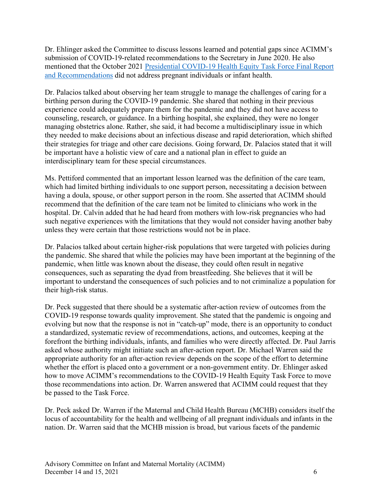Dr. Ehlinger asked the Committee to discuss lessons learned and potential gaps since ACIMM's submission of COVID-19-related recommendations to the Secretary in June 2020. He also mentioned that the October 2021 [Presidential COVID-19 Health Equity Task Force Final Report](https://www.minorityhealth.hhs.gov/assets/pdf/HETF_Report_508_102821_9am_508Team%20WIP11-compressed.pdf)  [and Recommendations](https://www.minorityhealth.hhs.gov/assets/pdf/HETF_Report_508_102821_9am_508Team%20WIP11-compressed.pdf) did not address pregnant individuals or infant health.

Dr. Palacios talked about observing her team struggle to manage the challenges of caring for a birthing person during the COVID-19 pandemic. She shared that nothing in their previous experience could adequately prepare them for the pandemic and they did not have access to counseling, research, or guidance. In a birthing hospital, she explained, they were no longer managing obstetrics alone. Rather, she said, it had become a multidisciplinary issue in which they needed to make decisions about an infectious disease and rapid deterioration, which shifted their strategies for triage and other care decisions. Going forward, Dr. Palacios stated that it will be important have a holistic view of care and a national plan in effect to guide an interdisciplinary team for these special circumstances.

Ms. Pettiford commented that an important lesson learned was the definition of the care team, which had limited birthing individuals to one support person, necessitating a decision between having a doula, spouse, or other support person in the room. She asserted that ACIMM should recommend that the definition of the care team not be limited to clinicians who work in the hospital. Dr. Calvin added that he had heard from mothers with low-risk pregnancies who had such negative experiences with the limitations that they would not consider having another baby unless they were certain that those restrictions would not be in place.

Dr. Palacios talked about certain higher-risk populations that were targeted with policies during the pandemic. She shared that while the policies may have been important at the beginning of the pandemic, when little was known about the disease, they could often result in negative consequences, such as separating the dyad from breastfeeding. She believes that it will be important to understand the consequences of such policies and to not criminalize a population for their high-risk status.

Dr. Peck suggested that there should be a systematic after-action review of outcomes from the COVID-19 response towards quality improvement. She stated that the pandemic is ongoing and evolving but now that the response is not in "catch-up" mode, there is an opportunity to conduct a standardized, systematic review of recommendations, actions, and outcomes, keeping at the forefront the birthing individuals, infants, and families who were directly affected. Dr. Paul Jarris asked whose authority might initiate such an after-action report. Dr. Michael Warren said the appropriate authority for an after-action review depends on the scope of the effort to determine whether the effort is placed onto a government or a non-government entity. Dr. Ehlinger asked how to move ACIMM's recommendations to the COVID-19 Health Equity Task Force to move those recommendations into action. Dr. Warren answered that ACIMM could request that they be passed to the Task Force.

Dr. Peck asked Dr. Warren if the Maternal and Child Health Bureau (MCHB) considers itself the locus of accountability for the health and wellbeing of all pregnant individuals and infants in the nation. Dr. Warren said that the MCHB mission is broad, but various facets of the pandemic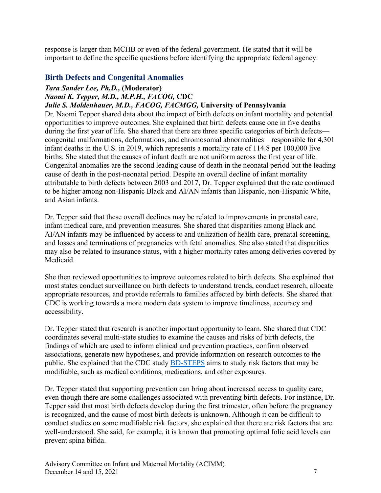response is larger than MCHB or even of the federal government. He stated that it will be important to define the specific questions before identifying the appropriate federal agency.

#### <span id="page-8-0"></span>**Birth Defects and Congenital Anomalies**

## *Tara Sander Lee, Ph.D.,* **(Moderator)** *Naomi K. Tepper, M.D., M.P.H., FACOG,* **CDC**

#### *Julie S. Moldenhauer, M.D., FACOG, FACMGG,* **University of Pennsylvania**

Dr. Naomi Tepper shared data about the impact of birth defects on infant mortality and potential opportunities to improve outcomes. She explained that birth defects cause one in five deaths during the first year of life. She shared that there are three specific categories of birth defects congenital malformations, deformations, and chromosomal abnormalities—responsible for 4,301 infant deaths in the U.S. in 2019, which represents a mortality rate of 114.8 per 100,000 live births. She stated that the causes of infant death are not uniform across the first year of life. Congenital anomalies are the second leading cause of death in the neonatal period but the leading cause of death in the post-neonatal period. Despite an overall decline of infant mortality attributable to birth defects between 2003 and 2017, Dr. Tepper explained that the rate continued to be higher among non-Hispanic Black and AI/AN infants than Hispanic, non-Hispanic White, and Asian infants.

Dr. Tepper said that these overall declines may be related to improvements in prenatal care, infant medical care, and prevention measures. She shared that disparities among Black and AI/AN infants may be influenced by access to and utilization of health care, prenatal screening, and losses and terminations of pregnancies with fetal anomalies. She also stated that disparities may also be related to insurance status, with a higher mortality rates among deliveries covered by Medicaid.

She then reviewed opportunities to improve outcomes related to birth defects. She explained that most states conduct surveillance on birth defects to understand trends, conduct research, allocate appropriate resources, and provide referrals to families affected by birth defects. She shared that CDC is working towards a more modern data system to improve timeliness, accuracy and accessibility.

Dr. Tepper stated that research is another important opportunity to learn. She shared that CDC coordinates several multi-state studies to examine the causes and risks of birth defects, the findings of which are used to inform clinical and prevention practices, confirm observed associations, generate new hypotheses, and provide information on research outcomes to the public. She explained that the CDC study [BD-STEPS](https://www.cdc.gov/ncbddd/birthdefects/bd-steps.html) aims to study risk factors that may be modifiable, such as medical conditions, medications, and other exposures.

Dr. Tepper stated that supporting prevention can bring about increased access to quality care, even though there are some challenges associated with preventing birth defects. For instance, Dr. Tepper said that most birth defects develop during the first trimester, often before the pregnancy is recognized, and the cause of most birth defects is unknown. Although it can be difficult to conduct studies on some modifiable risk factors, she explained that there are risk factors that are well-understood. She said, for example, it is known that promoting optimal folic acid levels can prevent spina bifida.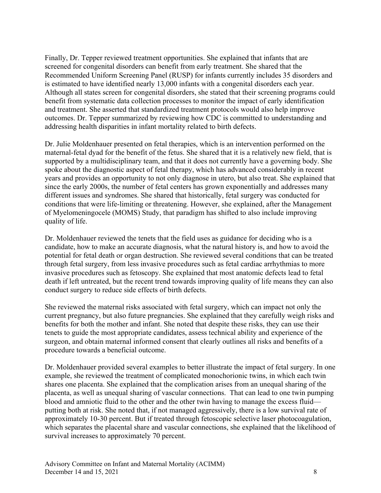Finally, Dr. Tepper reviewed treatment opportunities. She explained that infants that are screened for congenital disorders can benefit from early treatment. She shared that the Recommended Uniform Screening Panel (RUSP) for infants currently includes 35 disorders and is estimated to have identified nearly 13,000 infants with a congenital disorders each year. Although all states screen for congenital disorders, she stated that their screening programs could benefit from systematic data collection processes to monitor the impact of early identification and treatment. She asserted that standardized treatment protocols would also help improve outcomes. Dr. Tepper summarized by reviewing how CDC is committed to understanding and addressing health disparities in infant mortality related to birth defects.

Dr. Julie Moldenhauer presented on fetal therapies, which is an intervention performed on the maternal-fetal dyad for the benefit of the fetus. She shared that it is a relatively new field, that is supported by a multidisciplinary team, and that it does not currently have a governing body. She spoke about the diagnostic aspect of fetal therapy, which has advanced considerably in recent years and provides an opportunity to not only diagnose in utero, but also treat. She explained that since the early 2000s, the number of fetal centers has grown exponentially and addresses many different issues and syndromes. She shared that historically, fetal surgery was conducted for conditions that were life-limiting or threatening. However, she explained, after the Management of Myelomeningocele (MOMS) Study, that paradigm has shifted to also include improving quality of life.

Dr. Moldenhauer reviewed the tenets that the field uses as guidance for deciding who is a candidate, how to make an accurate diagnosis, what the natural history is, and how to avoid the potential for fetal death or organ destruction. She reviewed several conditions that can be treated through fetal surgery, from less invasive procedures such as fetal cardiac arrhythmias to more invasive procedures such as fetoscopy. She explained that most anatomic defects lead to fetal death if left untreated, but the recent trend towards improving quality of life means they can also conduct surgery to reduce side effects of birth defects.

She reviewed the maternal risks associated with fetal surgery, which can impact not only the current pregnancy, but also future pregnancies. She explained that they carefully weigh risks and benefits for both the mother and infant. She noted that despite these risks, they can use their tenets to guide the most appropriate candidates, assess technical ability and experience of the surgeon, and obtain maternal informed consent that clearly outlines all risks and benefits of a procedure towards a beneficial outcome.

Dr. Moldenhauer provided several examples to better illustrate the impact of fetal surgery. In one example, she reviewed the treatment of complicated monochorionic twins, in which each twin shares one placenta. She explained that the complication arises from an unequal sharing of the placenta, as well as unequal sharing of vascular connections. That can lead to one twin pumping blood and amniotic fluid to the other and the other twin having to manage the excess fluid putting both at risk. She noted that, if not managed aggressively, there is a low survival rate of approximately 10-30 percent. But if treated through fetoscopic selective laser photocoagulation, which separates the placental share and vascular connections, she explained that the likelihood of survival increases to approximately 70 percent.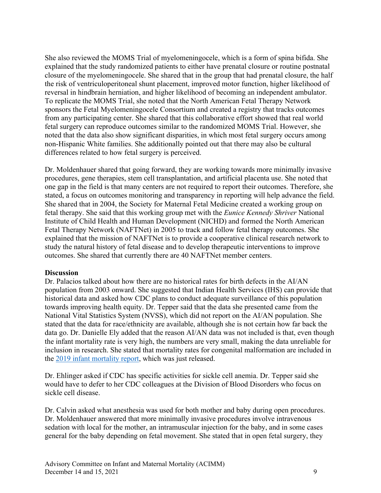She also reviewed the MOMS Trial of myelomeningocele, which is a form of spina bifida. She explained that the study randomized patients to either have prenatal closure or routine postnatal closure of the myelomeningocele. She shared that in the group that had prenatal closure, the half the risk of ventriculoperitoneal shunt placement, improved motor function, higher likelihood of reversal in hindbrain herniation, and higher likelihood of becoming an independent ambulator. To replicate the MOMS Trial, she noted that the North American Fetal Therapy Network sponsors the Fetal Myelomeningocele Consortium and created a registry that tracks outcomes from any participating center. She shared that this collaborative effort showed that real world fetal surgery can reproduce outcomes similar to the randomized MOMS Trial. However, she noted that the data also show significant disparities, in which most fetal surgery occurs among non-Hispanic White families. She additionally pointed out that there may also be cultural differences related to how fetal surgery is perceived.

Dr. Moldenhauer shared that going forward, they are working towards more minimally invasive procedures, gene therapies, stem cell transplantation, and artificial placenta use. She noted that one gap in the field is that many centers are not required to report their outcomes. Therefore, she stated, a focus on outcomes monitoring and transparency in reporting will help advance the field. She shared that in 2004, the Society for Maternal Fetal Medicine created a working group on fetal therapy. She said that this working group met with the *Eunice Kennedy Shriver* National Institute of Child Health and Human Development (NICHD) and formed the North American Fetal Therapy Network (NAFTNet) in 2005 to track and follow fetal therapy outcomes. She explained that the mission of NAFTNet is to provide a cooperative clinical research network to study the natural history of fetal disease and to develop therapeutic interventions to improve outcomes. She shared that currently there are 40 NAFTNet member centers.

#### **Discussion**

Dr. Palacios talked about how there are no historical rates for birth defects in the AI/AN population from 2003 onward. She suggested that Indian Health Services (IHS) can provide that historical data and asked how CDC plans to conduct adequate surveillance of this population towards improving health equity. Dr. Tepper said that the data she presented came from the National Vital Statistics System (NVSS), which did not report on the AI/AN population. She stated that the data for race/ethnicity are available, although she is not certain how far back the data go. Dr. Danielle Ely added that the reason AI/AN data was not included is that, even though the infant mortality rate is very high, the numbers are very small, making the data unreliable for inclusion in research. She stated that mortality rates for congenital malformation are included in the [2019 infant mortality report,](https://www.cdc.gov/nchs/data/nvsr/nvsr70/NVSR70-14.pdf) which was just released.

Dr. Ehlinger asked if CDC has specific activities for sickle cell anemia. Dr. Tepper said she would have to defer to her CDC colleagues at the Division of Blood Disorders who focus on sickle cell disease.

Dr. Calvin asked what anesthesia was used for both mother and baby during open procedures. Dr. Moldenhauer answered that more minimally invasive procedures involve intravenous sedation with local for the mother, an intramuscular injection for the baby, and in some cases general for the baby depending on fetal movement. She stated that in open fetal surgery, they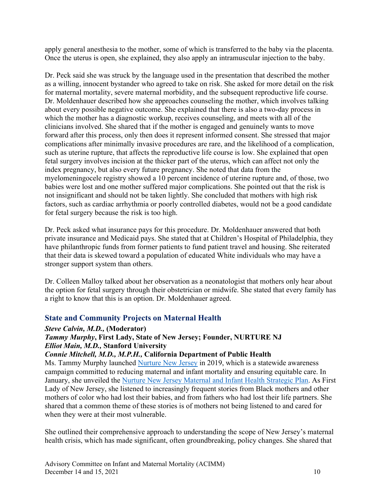apply general anesthesia to the mother, some of which is transferred to the baby via the placenta. Once the uterus is open, she explained, they also apply an intramuscular injection to the baby.

Dr. Peck said she was struck by the language used in the presentation that described the mother as a willing, innocent bystander who agreed to take on risk. She asked for more detail on the risk for maternal mortality, severe maternal morbidity, and the subsequent reproductive life course. Dr. Moldenhauer described how she approaches counseling the mother, which involves talking about every possible negative outcome. She explained that there is also a two-day process in which the mother has a diagnostic workup, receives counseling, and meets with all of the clinicians involved. She shared that if the mother is engaged and genuinely wants to move forward after this process, only then does it represent informed consent. She stressed that major complications after minimally invasive procedures are rare, and the likelihood of a complication, such as uterine rupture, that affects the reproductive life course is low. She explained that open fetal surgery involves incision at the thicker part of the uterus, which can affect not only the index pregnancy, but also every future pregnancy. She noted that data from the myelomeningocele registry showed a 10 percent incidence of uterine rupture and, of those, two babies were lost and one mother suffered major complications. She pointed out that the risk is not insignificant and should not be taken lightly. She concluded that mothers with high risk factors, such as cardiac arrhythmia or poorly controlled diabetes, would not be a good candidate for fetal surgery because the risk is too high.

Dr. Peck asked what insurance pays for this procedure. Dr. Moldenhauer answered that both private insurance and Medicaid pays. She stated that at Children's Hospital of Philadelphia, they have philanthropic funds from former patients to fund patient travel and housing. She reiterated that their data is skewed toward a population of educated White individuals who may have a stronger support system than others.

Dr. Colleen Malloy talked about her observation as a neonatologist that mothers only hear about the option for fetal surgery through their obstetrician or midwife. She stated that every family has a right to know that this is an option. Dr. Moldenhauer agreed.

## <span id="page-11-0"></span>**State and Community Projects on Maternal Health**

#### *Steve Calvin, M.D.,* **(Moderator)**

## *Tammy Murphy***, First Lady, State of New Jersey; Founder, NURTURE NJ**  *Elliot Main, M.D.,* **Stanford University**

#### *Connie Mitchell, M.D., M.P.H.,* **California Department of Public Health**

Ms. Tammy Murphy launched [Nurture New Jersey](https://nurturenj.nj.gov/) in 2019, which is a statewide awareness campaign committed to reducing maternal and infant mortality and ensuring equitable care. In January, she unveiled the [Nurture New Jersey Maternal and Infant Health Strategic Plan.](https://nurturenj.nj.gov/wp-content/uploads/2021/01/20210120-Nurture-NJ-Strategic-Plan.pdf) As First Lady of New Jersey, she listened to increasingly frequent stories from Black mothers and other mothers of color who had lost their babies, and from fathers who had lost their life partners. She shared that a common theme of these stories is of mothers not being listened to and cared for when they were at their most vulnerable.

She outlined their comprehensive approach to understanding the scope of New Jersey's maternal health crisis, which has made significant, often groundbreaking, policy changes. She shared that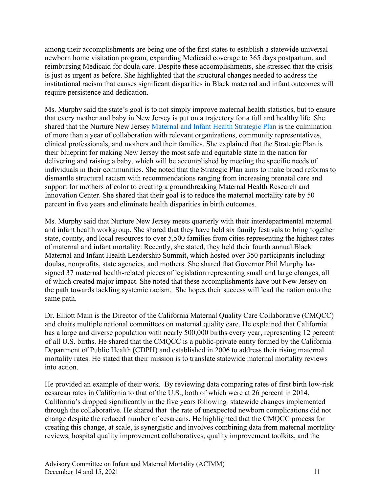among their accomplishments are being one of the first states to establish a statewide universal newborn home visitation program, expanding Medicaid coverage to 365 days postpartum, and reimbursing Medicaid for doula care. Despite these accomplishments, she stressed that the crisis is just as urgent as before. She highlighted that the structural changes needed to address the institutional racism that causes significant disparities in Black maternal and infant outcomes will require persistence and dedication.

Ms. Murphy said the state's goal is to not simply improve maternal health statistics, but to ensure that every mother and baby in New Jersey is put on a trajectory for a full and healthy life. She shared that the Nurture New Jersey [Maternal and Infant Health Strategic Plan](https://nurturenj.nj.gov/wp-content/uploads/2021/01/20210120-Nurture-NJ-Strategic-Plan.pdf) is the culmination of more than a year of collaboration with relevant organizations, community representatives, clinical professionals, and mothers and their families. She explained that the Strategic Plan is their blueprint for making New Jersey the most safe and equitable state in the nation for delivering and raising a baby, which will be accomplished by meeting the specific needs of individuals in their communities. She noted that the Strategic Plan aims to make broad reforms to dismantle structural racism with recommendations ranging from increasing prenatal care and support for mothers of color to creating a groundbreaking Maternal Health Research and Innovation Center. She shared that their goal is to reduce the maternal mortality rate by 50 percent in five years and eliminate health disparities in birth outcomes.

Ms. Murphy said that Nurture New Jersey meets quarterly with their interdepartmental maternal and infant health workgroup. She shared that they have held six family festivals to bring together state, county, and local resources to over 5,500 families from cities representing the highest rates of maternal and infant mortality. Recently, she stated, they held their fourth annual Black Maternal and Infant Health Leadership Summit, which hosted over 350 participants including doulas, nonprofits, state agencies, and mothers. She shared that Governor Phil Murphy has signed 37 maternal health-related pieces of legislation representing small and large changes, all of which created major impact. She noted that these accomplishments have put New Jersey on the path towards tackling systemic racism. She hopes their success will lead the nation onto the same path.

Dr. Elliott Main is the Director of the California Maternal Quality Care Collaborative (CMQCC) and chairs multiple national committees on maternal quality care. He explained that California has a large and diverse population with nearly 500,000 births every year, representing 12 percent of all U.S. births. He shared that the CMQCC is a public-private entity formed by the California Department of Public Health (CDPH) and established in 2006 to address their rising maternal mortality rates. He stated that their mission is to translate statewide maternal mortality reviews into action.

He provided an example of their work. By reviewing data comparing rates of first birth low-risk cesarean rates in California to that of the U.S., both of which were at 26 percent in 2014, California's dropped significantly in the five years following statewide changes implemented through the collaborative. He shared that the rate of unexpected newborn complications did not change despite the reduced number of cesareans. He highlighted that the CMQCC process for creating this change, at scale, is synergistic and involves combining data from maternal mortality reviews, hospital quality improvement collaboratives, quality improvement toolkits, and the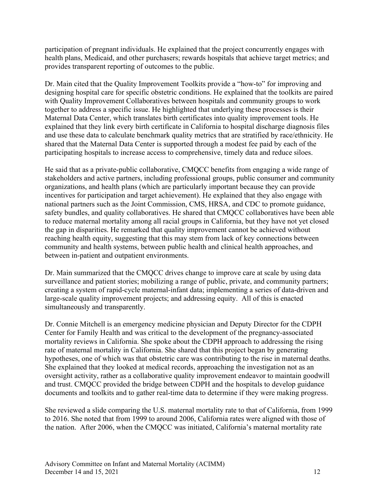participation of pregnant individuals. He explained that the project concurrently engages with health plans, Medicaid, and other purchasers; rewards hospitals that achieve target metrics; and provides transparent reporting of outcomes to the public.

Dr. Main cited that the Quality Improvement Toolkits provide a "how-to" for improving and designing hospital care for specific obstetric conditions. He explained that the toolkits are paired with Quality Improvement Collaboratives between hospitals and community groups to work together to address a specific issue. He highlighted that underlying these processes is their Maternal Data Center, which translates birth certificates into quality improvement tools. He explained that they link every birth certificate in California to hospital discharge diagnosis files and use these data to calculate benchmark quality metrics that are stratified by race/ethnicity. He shared that the Maternal Data Center is supported through a modest fee paid by each of the participating hospitals to increase access to comprehensive, timely data and reduce siloes.

He said that as a private-public collaborative, CMQCC benefits from engaging a wide range of stakeholders and active partners, including professional groups, public consumer and community organizations, and health plans (which are particularly important because they can provide incentives for participation and target achievement). He explained that they also engage with national partners such as the Joint Commission, CMS, HRSA, and CDC to promote guidance, safety bundles, and quality collaboratives. He shared that CMQCC collaboratives have been able to reduce maternal mortality among all racial groups in California, but they have not yet closed the gap in disparities. He remarked that quality improvement cannot be achieved without reaching health equity, suggesting that this may stem from lack of key connections between community and health systems, between public health and clinical health approaches, and between in-patient and outpatient environments.

Dr. Main summarized that the CMQCC drives change to improve care at scale by using data surveillance and patient stories; mobilizing a range of public, private, and community partners; creating a system of rapid-cycle maternal-infant data; implementing a series of data-driven and large-scale quality improvement projects; and addressing equity. All of this is enacted simultaneously and transparently.

Dr. Connie Mitchell is an emergency medicine physician and Deputy Director for the CDPH Center for Family Health and was critical to the development of the pregnancy-associated mortality reviews in California. She spoke about the CDPH approach to addressing the rising rate of maternal mortality in California. She shared that this project began by generating hypotheses, one of which was that obstetric care was contributing to the rise in maternal deaths. She explained that they looked at medical records, approaching the investigation not as an oversight activity, rather as a collaborative quality improvement endeavor to maintain goodwill and trust. CMQCC provided the bridge between CDPH and the hospitals to develop guidance documents and toolkits and to gather real-time data to determine if they were making progress.

She reviewed a slide comparing the U.S. maternal mortality rate to that of California, from 1999 to 2016. She noted that from 1999 to around 2006, California rates were aligned with those of the nation. After 2006, when the CMQCC was initiated, California's maternal mortality rate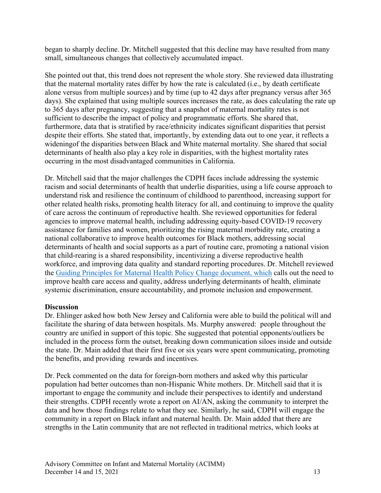began to sharply decline. Dr. Mitchell suggested that this decline may have resulted from many small, simultaneous changes that collectively accumulated impact.

She pointed out that, this trend does not represent the whole story. She reviewed data illustrating that the maternal mortality rates differ by how the rate is calculated (i.e., by death certificate alone versus from multiple sources) and by time (up to 42 days after pregnancy versus after 365 days). She explained that using multiple sources increases the rate, as does calculating the rate up to 365 days after pregnancy, suggesting that a snapshot of maternal mortality rates is not sufficient to describe the impact of policy and programmatic efforts. She shared that, furthermore, data that is stratified by race/ethnicity indicates significant disparities that persist despite their efforts. She stated that, importantly, by extending data out to one year, it reflects a wideningof the disparities between Black and White maternal mortality. She shared that social determinants of health also play a key role in disparities, with the highest mortality rates occurring in the most disadvantaged communities in California.

Dr. Mitchell said that the major challenges the CDPH faces include addressing the systemic racism and social determinants of health that underlie disparities, using a life course approach to understand risk and resilience the continuum of childhood to parenthood, increasing support for other related health risks, promoting health literacy for all, and continuing to improve the quality of care across the continuum of reproductive health. She reviewed opportunities for federal agencies to improve maternal health, including addressing equity-based COVID-19 recovery assistance for families and women, prioritizing the rising maternal morbidity rate, creating a national collaborative to improve health outcomes for Black mothers, addressing social determinants of health and social supports as a part of routine care, promoting a national vision that child-rearing is a shared responsibility, incentivizing a diverse reproductive health workforce, and improving data quality and standard reporting procedures. Dr. Mitchell reviewed the [Guiding Principles for Maternal Health Policy Change](http://reproductiverights.org/wp-content/uploads/2021/03/USPA_MH_OnePager_Principles-Center.pdf) document, which calls out the need to improve health care access and quality, address underlying determinants of health, eliminate systemic discrimination, ensure accountability, and promote inclusion and empowerment.

#### **Discussion**

Dr. Ehlinger asked how both New Jersey and California were able to build the political will and facilitate the sharing of data between hospitals. Ms. Murphy answered: people throughout the country are unified in support of this topic. She suggested that potential opponents/outliers be included in the process form the outset, breaking down communication siloes inside and outside the state. Dr. Main added that their first five or six years were spent communicating, promoting the benefits, and providing rewards and incentives.

Dr. Peck commented on the data for foreign-born mothers and asked why this particular population had better outcomes than non-Hispanic White mothers. Dr. Mitchell said that it is important to engage the community and include their perspectives to identify and understand their strengths. CDPH recently wrote a report on AI/AN, asking the community to interpret the data and how those findings relate to what they see. Similarly, he said, CDPH will engage the community in a report on Black infant and maternal health. Dr. Main added that there are strengths in the Latin community that are not reflected in traditional metrics, which looks at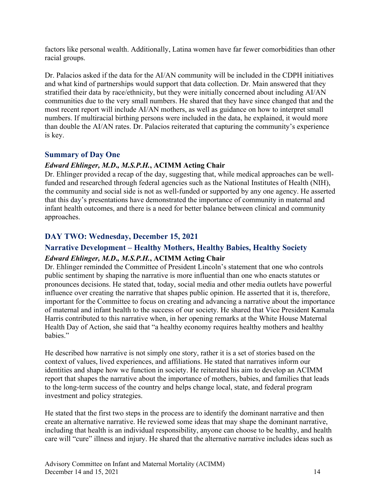factors like personal wealth. Additionally, Latina women have far fewer comorbidities than other racial groups.

Dr. Palacios asked if the data for the AI/AN community will be included in the CDPH initiatives and what kind of partnerships would support that data collection. Dr. Main answered that they stratified their data by race/ethnicity, but they were initially concerned about including AI/AN communities due to the very small numbers. He shared that they have since changed that and the most recent report will include AI/AN mothers, as well as guidance on how to interpret small numbers. If multiracial birthing persons were included in the data, he explained, it would more than double the AI/AN rates. Dr. Palacios reiterated that capturing the community's experience is key.

#### <span id="page-15-0"></span>**Summary of Day One**

#### *Edward Ehlinger, M.D***.***, M.S.P.H.***, ACIMM Acting Chair**

Dr. Ehlinger provided a recap of the day, suggesting that, while medical approaches can be wellfunded and researched through federal agencies such as the National Institutes of Health (NIH), the community and social side is not as well-funded or supported by any one agency. He asserted that this day's presentations have demonstrated the importance of community in maternal and infant health outcomes, and there is a need for better balance between clinical and community approaches.

## <span id="page-15-1"></span>**DAY TWO: Wednesday, December 15, 2021**

## <span id="page-15-2"></span>**Narrative Development – Healthy Mothers, Healthy Babies, Healthy Society**

#### *Edward Ehlinger, M.D***.***, M.S.P.H.***, ACIMM Acting Chair**

Dr. Ehlinger reminded the Committee of President Lincoln's statement that one who controls public sentiment by shaping the narrative is more influential than one who enacts statutes or pronounces decisions. He stated that, today, social media and other media outlets have powerful influence over creating the narrative that shapes public opinion. He asserted that it is, therefore, important for the Committee to focus on creating and advancing a narrative about the importance of maternal and infant health to the success of our society. He shared that Vice President Kamala Harris contributed to this narrative when, in her opening remarks at the White House Maternal Health Day of Action, she said that "a healthy economy requires healthy mothers and healthy babies."

He described how narrative is not simply one story, rather it is a set of stories based on the context of values, lived experiences, and affiliations. He stated that narratives inform our identities and shape how we function in society. He reiterated his aim to develop an ACIMM report that shapes the narrative about the importance of mothers, babies, and families that leads to the long-term success of the country and helps change local, state, and federal program investment and policy strategies.

He stated that the first two steps in the process are to identify the dominant narrative and then create an alternative narrative. He reviewed some ideas that may shape the dominant narrative, including that health is an individual responsibility, anyone can choose to be healthy, and health care will "cure" illness and injury. He shared that the alternative narrative includes ideas such as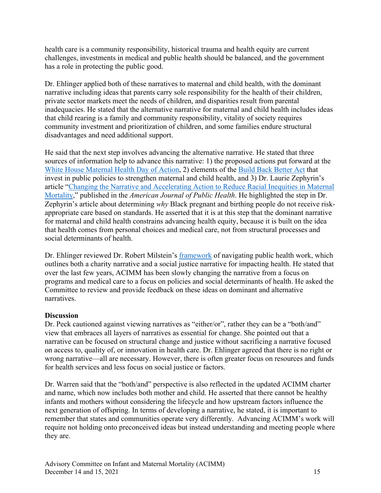health care is a community responsibility, historical trauma and health equity are current challenges, investments in medical and public health should be balanced, and the government has a role in protecting the public good.

Dr. Ehlinger applied both of these narratives to maternal and child health, with the dominant narrative including ideas that parents carry sole responsibility for the health of their children, private sector markets meet the needs of children, and disparities result from parental inadequacies. He stated that the alternative narrative for maternal and child health includes ideas that child rearing is a family and community responsibility, vitality of society requires community investment and prioritization of children, and some families endure structural disadvantages and need additional support.

He said that the next step involves advancing the alternative narrative. He stated that three sources of information help to advance this narrative: 1) the proposed actions put forward at the [White House Maternal Health Day of Action,](https://www.whitehouse.gov/briefing-room/statements-releases/2021/12/07/fact-sheet-vice-president-kamala-harris-announces-call-to-action-to-reduce-maternal-mortality-and-morbidity/) 2) elements of the [Build Back Better Act](https://www.whitehouse.gov/build-back-better/) that invest in public policies to strengthen maternal and child health, and 3) Dr. Laurie Zephyrin's article ["Changing the Narrative and Accelerating Action to Reduce Racial Inequities in Maternal](https://ajph.aphapublications.org/doi/full/10.2105/AJPH.2021.306462)  [Mortality,](https://ajph.aphapublications.org/doi/full/10.2105/AJPH.2021.306462)" published in the *American Journal of Public Health*. He highlighted the step in Dr. Zephyrin's article about determining *why* Black pregnant and birthing people do not receive riskappropriate care based on standards. He asserted that it is at this step that the dominant narrative for maternal and child health constrains advancing health equity, because it is built on the idea that health comes from personal choices and medical care, not from structural processes and social determinants of health.

Dr. Ehlinger reviewed Dr. Robert Milstein's [framework](https://rethinkhealth.org/wp-content/uploads/2015/02/Hygeias-Constellation-Milstein-CDC-Final.pdf) of navigating public health work, which outlines both a charity narrative and a social justice narrative for impacting health. He stated that over the last few years, ACIMM has been slowly changing the narrative from a focus on programs and medical care to a focus on policies and social determinants of health. He asked the Committee to review and provide feedback on these ideas on dominant and alternative narratives.

#### **Discussion**

Dr. Peck cautioned against viewing narratives as "either/or", rather they can be a "both/and" view that embraces all layers of narratives as essential for change. She pointed out that a narrative can be focused on structural change and justice without sacrificing a narrative focused on access to, quality of, or innovation in health care. Dr. Ehlinger agreed that there is no right or wrong narrative—all are necessary. However, there is often greater focus on resources and funds for health services and less focus on social justice or factors.

Dr. Warren said that the "both/and" perspective is also reflected in the updated ACIMM charter and name, which now includes both mother and child. He asserted that there cannot be healthy infants and mothers without considering the lifecycle and how upstream factors influence the next generation of offspring. In terms of developing a narrative, he stated, it is important to remember that states and communities operate very differently. Advancing ACIMM's work will require not holding onto preconceived ideas but instead understanding and meeting people where they are.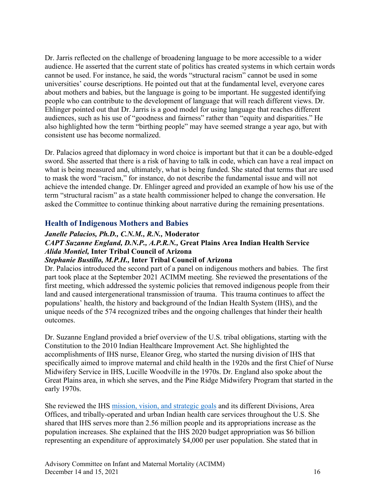Dr. Jarris reflected on the challenge of broadening language to be more accessible to a wider audience. He asserted that the current state of politics has created systems in which certain words cannot be used. For instance, he said, the words "structural racism" cannot be used in some universities' course descriptions. He pointed out that at the fundamental level, everyone cares about mothers and babies, but the language is going to be important. He suggested identifying people who can contribute to the development of language that will reach different views. Dr. Ehlinger pointed out that Dr. Jarris is a good model for using language that reaches different audiences, such as his use of "goodness and fairness" rather than "equity and disparities." He also highlighted how the term "birthing people" may have seemed strange a year ago, but with consistent use has become normalized.

Dr. Palacios agreed that diplomacy in word choice is important but that it can be a double-edged sword. She asserted that there is a risk of having to talk in code, which can have a real impact on what is being measured and, ultimately, what is being funded. She stated that terms that are used to mask the word "racism," for instance, do not describe the fundamental issue and will not achieve the intended change. Dr. Ehlinger agreed and provided an example of how his use of the term "structural racism" as a state health commissioner helped to change the conversation. He asked the Committee to continue thinking about narrative during the remaining presentations.

#### <span id="page-17-0"></span>**Health of Indigenous Mothers and Babies**

## *Janelle Palacios, Ph.D., C.N.M., R.N.,* **Moderator**  *CAPT Suzanne England, D.N.P., A.P.R.N.,* **Great Plains Area Indian Health Service** *Alida Montiel,* **Inter Tribal Council of Arizona**

#### *Stephanie Bustillo, M.P.H.,* **Inter Tribal Council of Arizona**

Dr. Palacios introduced the second part of a panel on indigenous mothers and babies. The first part took place at the September 2021 ACIMM meeting. She reviewed the presentations of the first meeting, which addressed the systemic policies that removed indigenous people from their land and caused intergenerational transmission of trauma. This trauma continues to affect the populations' health, the history and background of the Indian Health System (IHS), and the unique needs of the 574 recognized tribes and the ongoing challenges that hinder their health outcomes.

Dr. Suzanne England provided a brief overview of the U.S. tribal obligations, starting with the Constitution to the 2010 Indian Healthcare Improvement Act. She highlighted the accomplishments of IHS nurse, Eleanor Greg, who started the nursing division of IHS that specifically aimed to improve maternal and child health in the 1920s and the first Chief of Nurse Midwifery Service in IHS, Lucille Woodville in the 1970s. Dr. England also spoke about the Great Plains area, in which she serves, and the Pine Ridge Midwifery Program that started in the early 1970s.

She reviewed the IHS [mission, vision, and strategic goals](https://www.ihs.gov/aboutihs/#:%7E:text=to%20ensure%20that%20comprehensive%2C%20culturally,an%20optimally%20performing%20organization%3B%20and) and its different Divisions, Area Offices, and tribally-operated and urban Indian health care services throughout the U.S. She shared that IHS serves more than 2.56 million people and its appropriations increase as the population increases. She explained that the IHS 2020 budget appropriation was \$6 billion representing an expenditure of approximately \$4,000 per user population. She stated that in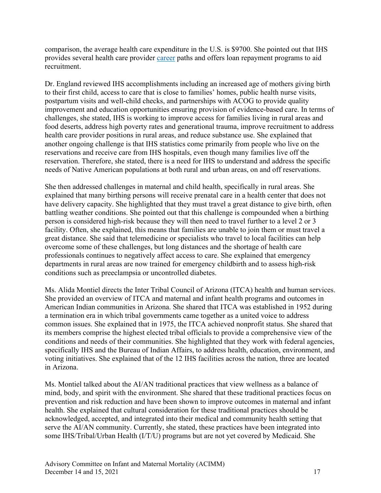comparison, the average health care expenditure in the U.S. is \$9700. She pointed out that IHS provides several health care provider [career](https://www.ihs.gov/jobs/) paths and offers loan repayment programs to aid recruitment.

Dr. England reviewed IHS accomplishments including an increased age of mothers giving birth to their first child, access to care that is close to families' homes, public health nurse visits, postpartum visits and well-child checks, and partnerships with ACOG to provide quality improvement and education opportunities ensuring provision of evidence-based care. In terms of challenges, she stated, IHS is working to improve access for families living in rural areas and food deserts, address high poverty rates and generational trauma, improve recruitment to address health care provider positions in rural areas, and reduce substance use. She explained that another ongoing challenge is that IHS statistics come primarily from people who live on the reservations and receive care from IHS hospitals, even though many families live off the reservation. Therefore, she stated, there is a need for IHS to understand and address the specific needs of Native American populations at both rural and urban areas, on and off reservations.

She then addressed challenges in maternal and child health, specifically in rural areas. She explained that many birthing persons will receive prenatal care in a health center that does not have delivery capacity. She highlighted that they must travel a great distance to give birth, often battling weather conditions. She pointed out that this challenge is compounded when a birthing person is considered high-risk because they will then need to travel further to a level 2 or 3 facility. Often, she explained, this means that families are unable to join them or must travel a great distance. She said that telemedicine or specialists who travel to local facilities can help overcome some of these challenges, but long distances and the shortage of health care professionals continues to negatively affect access to care. She explained that emergency departments in rural areas are now trained for emergency childbirth and to assess high-risk conditions such as preeclampsia or uncontrolled diabetes.

Ms. Alida Montiel directs the Inter Tribal Council of Arizona (ITCA) health and human services. She provided an overview of ITCA and maternal and infant health programs and outcomes in American Indian communities in Arizona. She shared that ITCA was established in 1952 during a termination era in which tribal governments came together as a united voice to address common issues. She explained that in 1975, the ITCA achieved nonprofit status. She shared that its members comprise the highest elected tribal officials to provide a comprehensive view of the conditions and needs of their communities. She highlighted that they work with federal agencies, specifically IHS and the Bureau of Indian Affairs, to address health, education, environment, and voting initiatives. She explained that of the 12 IHS facilities across the nation, three are located in Arizona.

Ms. Montiel talked about the AI/AN traditional practices that view wellness as a balance of mind, body, and spirit with the environment. She shared that these traditional practices focus on prevention and risk reduction and have been shown to improve outcomes in maternal and infant health. She explained that cultural consideration for these traditional practices should be acknowledged, accepted, and integrated into their medical and community health setting that serve the AI/AN community. Currently, she stated, these practices have been integrated into some IHS/Tribal/Urban Health (I/T/U) programs but are not yet covered by Medicaid. She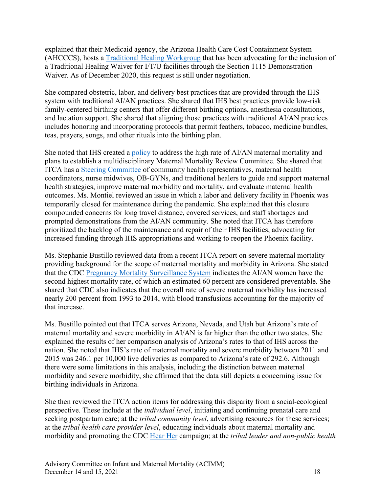explained that their Medicaid agency, the Arizona Health Care Cost Containment System (AHCCCS), hosts a [Traditional Healing Workgroup](https://www.azahcccs.gov/AmericanIndians/Downloads/Consultations/Meetings/2016/TribalWorkgroups.pdf) that has been advocating for the inclusion of a Traditional Healing Waiver for I/T/U facilities through the Section 1115 Demonstration Waiver. As of December 2020, this request is still under negotiation.

She compared obstetric, labor, and delivery best practices that are provided through the IHS system with traditional AI/AN practices. She shared that IHS best practices provide low-risk family-centered birthing centers that offer different birthing options, anesthesia consultations, and lactation support. She shared that aligning those practices with traditional AI/AN practices includes honoring and incorporating protocols that permit feathers, tobacco, medicine bundles, teas, prayers, songs, and other rituals into the birthing plan.

She noted that IHS created a [policy](https://www.ihs.gov/ihm/pc/part-3/p3c13-ap-a/) to address the high rate of AI/AN maternal mortality and plans to establish a multidisciplinary Maternal Mortality Review Committee. She shared that ITCA has a [Steering Committee](https://itcaonline.com/programs/health-services/health-policy/health-policy-steering-committee/) of community health representatives, maternal health coordinators, nurse midwives, OB-GYNs, and traditional healers to guide and support maternal health strategies, improve maternal morbidity and mortality, and evaluate maternal health outcomes. Ms. Montiel reviewed an issue in which a labor and delivery facility in Phoenix was temporarily closed for maintenance during the pandemic. She explained that this closure compounded concerns for long travel distance, covered services, and staff shortages and prompted demonstrations from the AI/AN community. She noted that ITCA has therefore prioritized the backlog of the maintenance and repair of their IHS facilities, advocating for increased funding through IHS appropriations and working to reopen the Phoenix facility.

Ms. Stephanie Bustillo reviewed data from a recent ITCA report on severe maternal mortality providing background for the scope of maternal mortality and morbidity in Arizona. She stated that the CDC [Pregnancy Mortality Surveillance System](https://www.cdc.gov/reproductivehealth/maternal-mortality/pregnancy-mortality-surveillance-system.htm) indicates the AI/AN women have the second highest mortality rate, of which an estimated 60 percent are considered preventable. She shared that CDC also indicates that the overall rate of severe maternal morbidity has increased nearly 200 percent from 1993 to 2014, with blood transfusions accounting for the majority of that increase.

Ms. Bustillo pointed out that ITCA serves Arizona, Nevada, and Utah but Arizona's rate of maternal mortality and severe morbidity in AI/AN is far higher than the other two states. She explained the results of her comparison analysis of Arizona's rates to that of IHS across the nation. She noted that IHS's rate of maternal mortality and severe morbidity between 2011 and 2015 was 246.1 per 10,000 live deliveries as compared to Arizona's rate of 292.6. Although there were some limitations in this analysis, including the distinction between maternal morbidity and severe morbidity, she affirmed that the data still depicts a concerning issue for birthing individuals in Arizona.

She then reviewed the ITCA action items for addressing this disparity from a social-ecological perspective. These include at the *individual level*, initiating and continuing prenatal care and seeking postpartum care; at the *tribal community level*, advertising resources for these services; at the *tribal health care provider level*, educating individuals about maternal mortality and morbidity and promoting the CDC [Hear Her](https://www.cdc.gov/hearher/index.html) campaign; at the *tribal leader and non-public health*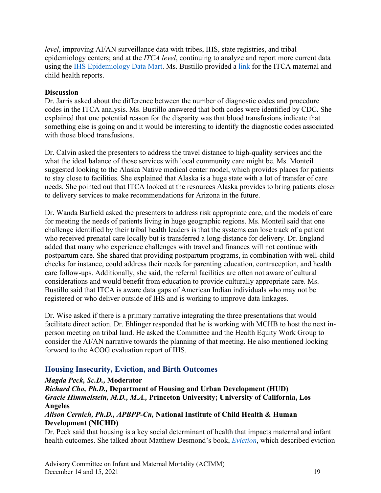*level*, improving AI/AN surveillance data with tribes, IHS, state registries, and tribal epidemiology centers; and at the *ITCA level*, continuing to analyze and report more current data using the [IHS Epidemiology Data Mart.](https://www.ihs.gov/npirs/data-marts/) Ms. Bustillo provided a [link](https://itcaonline.com/programs/research-and-evaluation/epidemiology/reports-publications/) for the ITCA maternal and child health reports.

#### **Discussion**

Dr. Jarris asked about the difference between the number of diagnostic codes and procedure codes in the ITCA analysis. Ms. Bustillo answered that both codes were identified by CDC. She explained that one potential reason for the disparity was that blood transfusions indicate that something else is going on and it would be interesting to identify the diagnostic codes associated with those blood transfusions.

Dr. Calvin asked the presenters to address the travel distance to high-quality services and the what the ideal balance of those services with local community care might be. Ms. Monteil suggested looking to the Alaska Native medical center model, which provides places for patients to stay close to facilities. She explained that Alaska is a huge state with a lot of transfer of care needs. She pointed out that ITCA looked at the resources Alaska provides to bring patients closer to delivery services to make recommendations for Arizona in the future.

Dr. Wanda Barfield asked the presenters to address risk appropriate care, and the models of care for meeting the needs of patients living in huge geographic regions. Ms. Monteil said that one challenge identified by their tribal health leaders is that the systems can lose track of a patient who received prenatal care locally but is transferred a long-distance for delivery. Dr. England added that many who experience challenges with travel and finances will not continue with postpartum care. She shared that providing postpartum programs, in combination with well-child checks for instance, could address their needs for parenting education, contraception, and health care follow-ups. Additionally, she said, the referral facilities are often not aware of cultural considerations and would benefit from education to provide culturally appropriate care. Ms. Bustillo said that ITCA is aware data gaps of American Indian individuals who may not be registered or who deliver outside of IHS and is working to improve data linkages.

Dr. Wise asked if there is a primary narrative integrating the three presentations that would facilitate direct action. Dr. Ehlinger responded that he is working with MCHB to host the next inperson meeting on tribal land. He asked the Committee and the Health Equity Work Group to consider the AI/AN narrative towards the planning of that meeting. He also mentioned looking forward to the ACOG evaluation report of IHS.

## <span id="page-20-0"></span>**Housing Insecurity, Eviction, and Birth Outcomes**

#### *Magda Peck, Sc.D.,* **Moderator**

*Richard Cho, Ph.D.,* **Department of Housing and Urban Development (HUD)** *Gracie Himmelstein, M.D., M.A.,* **Princeton University; University of California, Los Angeles**

*Alison Cernich, Ph.D., APBPP-Cn,* **National Institute of Child Health & Human Development (NICHD)**

Dr. Peck said that housing is a key social determinant of health that impacts maternal and infant health outcomes. She talked about Matthew Desmond's book, *[Eviction](https://www.evictedbook.com/)*, which described eviction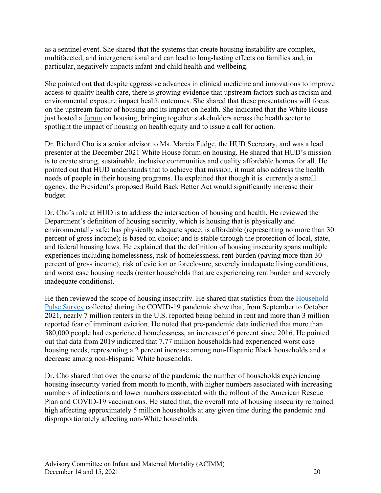as a sentinel event. She shared that the systems that create housing instability are complex, multifaceted, and intergenerational and can lead to long-lasting effects on families and, in particular, negatively impacts infant and child health and wellbeing.

She pointed out that despite aggressive advances in clinical medicine and innovations to improve access to quality health care, there is growing evidence that upstream factors such as racism and environmental exposure impact health outcomes. She shared that these presentations will focus on the upstream factor of housing and its impact on health. She indicated that the White House just hosted a [forum](https://housingmatters.urban.org/events/white-house-office-public-engagement-housing-and-health-forum) on housing, bringing together stakeholders across the health sector to spotlight the impact of housing on health equity and to issue a call for action.

Dr. Richard Cho is a senior advisor to Ms. Marcia Fudge, the HUD Secretary, and was a lead presenter at the December 2021 White House forum on housing. He shared that HUD's mission is to create strong, sustainable, inclusive communities and quality affordable homes for all. He pointed out that HUD understands that to achieve that mission, it must also address the health needs of people in their housing programs. He explained that though it is currently a small agency, the President's proposed Build Back Better Act would significantly increase their budget.

Dr. Cho's role at HUD is to address the intersection of housing and health. He reviewed the Department's definition of housing security, which is housing that is physically and environmentally safe; has physically adequate space; is affordable (representing no more than 30 percent of gross income); is based on choice; and is stable through the protection of local, state, and federal housing laws. He explained that the definition of housing insecurity spans multiple experiences including homelessness, risk of homelessness, rent burden (paying more than 30 percent of gross income), risk of eviction or foreclosure, severely inadequate living conditions, and worst case housing needs (renter households that are experiencing rent burden and severely inadequate conditions).

He then reviewed the scope of housing insecurity. He shared that statistics from the [Household](https://www.census.gov/data/experimental-data-products/household-pulse-survey.html)  [Pulse Survey](https://www.census.gov/data/experimental-data-products/household-pulse-survey.html) collected during the COVID-19 pandemic show that, from September to October 2021, nearly 7 million renters in the U.S. reported being behind in rent and more than 3 million reported fear of imminent eviction. He noted that pre-pandemic data indicated that more than 580,000 people had experienced homelessness, an increase of 6 percent since 2016. He pointed out that data from 2019 indicated that 7.77 million households had experienced worst case housing needs, representing a 2 percent increase among non-Hispanic Black households and a decrease among non-Hispanic White households.

Dr. Cho shared that over the course of the pandemic the number of households experiencing housing insecurity varied from month to month, with higher numbers associated with increasing numbers of infections and lower numbers associated with the rollout of the American Rescue Plan and COVID-19 vaccinations. He stated that, the overall rate of housing insecurity remained high affecting approximately 5 million households at any given time during the pandemic and disproportionately affecting non-White households.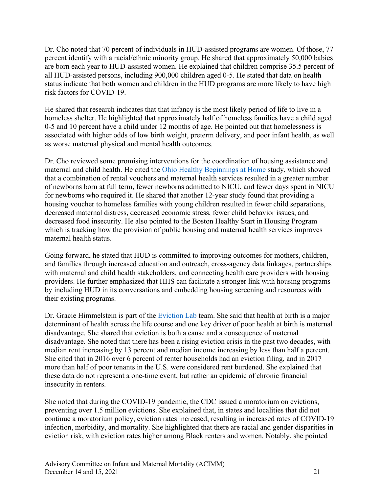Dr. Cho noted that 70 percent of individuals in HUD-assisted programs are women. Of those, 77 percent identify with a racial/ethnic minority group. He shared that approximately 50,000 babies are born each year to HUD-assisted women. He explained that children comprise 35.5 percent of all HUD-assisted persons, including 900,000 children aged 0-5. He stated that data on health status indicate that both women and children in the HUD programs are more likely to have high risk factors for COVID-19.

He shared that research indicates that that infancy is the most likely period of life to live in a homeless shelter. He highlighted that approximately half of homeless families have a child aged 0-5 and 10 percent have a child under 12 months of age. He pointed out that homelessness is associated with higher odds of low birth weight, preterm delivery, and poor infant health, as well as worse maternal physical and mental health outcomes.

Dr. Cho reviewed some promising interventions for the coordination of housing assistance and maternal and child health. He cited the [Ohio Healthy Beginnings at Home](https://www.healthpolicyohio.org/healthy-beginnings-at-home-final-report/) study, which showed that a combination of rental vouchers and maternal health services resulted in a greater number of newborns born at full term, fewer newborns admitted to NICU, and fewer days spent in NICU for newborns who required it. He shared that another 12-year study found that providing a housing voucher to homeless families with young children resulted in fewer child separations, decreased maternal distress, decreased economic stress, fewer child behavior issues, and decreased food insecurity. He also pointed to the Boston Healthy Start in Housing Program which is tracking how the provision of public housing and maternal health services improves maternal health status.

Going forward, he stated that HUD is committed to improving outcomes for mothers, children, and families through increased education and outreach, cross-agency data linkages, partnerships with maternal and child health stakeholders, and connecting health care providers with housing providers. He further emphasized that HHS can facilitate a stronger link with housing programs by including HUD in its conversations and embedding housing screening and resources with their existing programs.

Dr. Gracie Himmelstein is part of the [Eviction Lab](https://evictionlab.org/about/) team. She said that health at birth is a major determinant of health across the life course and one key driver of poor health at birth is maternal disadvantage. She shared that eviction is both a cause and a consequence of maternal disadvantage. She noted that there has been a rising eviction crisis in the past two decades, with median rent increasing by 13 percent and median income increasing by less than half a percent. She cited that in 2016 over 6 percent of renter households had an eviction filing, and in 2017 more than half of poor tenants in the U.S. were considered rent burdened. She explained that these data do not represent a one-time event, but rather an epidemic of chronic financial insecurity in renters.

She noted that during the COVID-19 pandemic, the CDC issued a moratorium on evictions, preventing over 1.5 million evictions. She explained that, in states and localities that did not continue a moratorium policy, eviction rates increased, resulting in increased rates of COVID-19 infection, morbidity, and mortality. She highlighted that there are racial and gender disparities in eviction risk, with eviction rates higher among Black renters and women. Notably, she pointed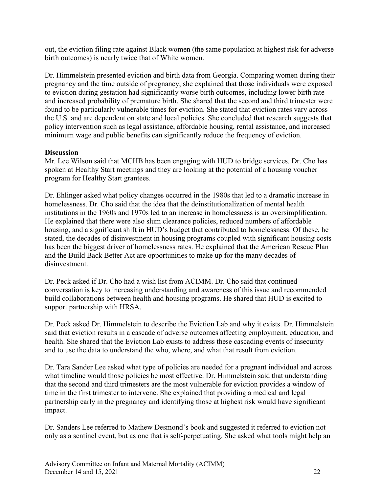out, the eviction filing rate against Black women (the same population at highest risk for adverse birth outcomes) is nearly twice that of White women.

Dr. Himmelstein presented eviction and birth data from Georgia. Comparing women during their pregnancy and the time outside of pregnancy, she explained that those individuals were exposed to eviction during gestation had significantly worse birth outcomes, including lower birth rate and increased probability of premature birth. She shared that the second and third trimester were found to be particularly vulnerable times for eviction. She stated that eviction rates vary across the U.S. and are dependent on state and local policies. She concluded that research suggests that policy intervention such as legal assistance, affordable housing, rental assistance, and increased minimum wage and public benefits can significantly reduce the frequency of eviction.

#### **Discussion**

Mr. Lee Wilson said that MCHB has been engaging with HUD to bridge services. Dr. Cho has spoken at Healthy Start meetings and they are looking at the potential of a housing voucher program for Healthy Start grantees.

Dr. Ehlinger asked what policy changes occurred in the 1980s that led to a dramatic increase in homelessness. Dr. Cho said that the idea that the deinstitutionalization of mental health institutions in the 1960s and 1970s led to an increase in homelessness is an oversimplification. He explained that there were also slum clearance policies, reduced numbers of affordable housing, and a significant shift in HUD's budget that contributed to homelessness. Of these, he stated, the decades of disinvestment in housing programs coupled with significant housing costs has been the biggest driver of homelessness rates. He explained that the American Rescue Plan and the Build Back Better Act are opportunities to make up for the many decades of disinvestment.

Dr. Peck asked if Dr. Cho had a wish list from ACIMM. Dr. Cho said that continued conversation is key to increasing understanding and awareness of this issue and recommended build collaborations between health and housing programs. He shared that HUD is excited to support partnership with HRSA.

Dr. Peck asked Dr. Himmelstein to describe the Eviction Lab and why it exists. Dr. Himmelstein said that eviction results in a cascade of adverse outcomes affecting employment, education, and health. She shared that the Eviction Lab exists to address these cascading events of insecurity and to use the data to understand the who, where, and what that result from eviction.

Dr. Tara Sander Lee asked what type of policies are needed for a pregnant individual and across what timeline would those policies be most effective. Dr. Himmelstein said that understanding that the second and third trimesters are the most vulnerable for eviction provides a window of time in the first trimester to intervene. She explained that providing a medical and legal partnership early in the pregnancy and identifying those at highest risk would have significant impact.

Dr. Sanders Lee referred to Mathew Desmond's book and suggested it referred to eviction not only as a sentinel event, but as one that is self-perpetuating. She asked what tools might help an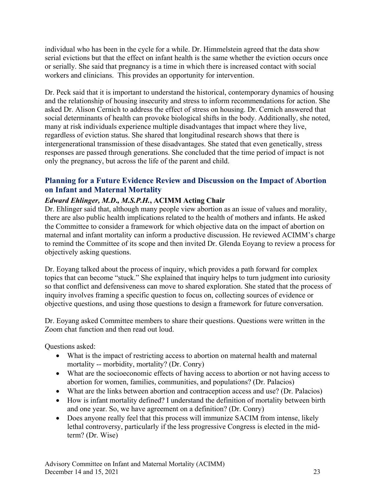individual who has been in the cycle for a while. Dr. Himmelstein agreed that the data show serial evictions but that the effect on infant health is the same whether the eviction occurs once or serially. She said that pregnancy is a time in which there is increased contact with social workers and clinicians. This provides an opportunity for intervention.

Dr. Peck said that it is important to understand the historical, contemporary dynamics of housing and the relationship of housing insecurity and stress to inform recommendations for action. She asked Dr. Alison Cernich to address the effect of stress on housing. Dr. Cernich answered that social determinants of health can provoke biological shifts in the body. Additionally, she noted, many at risk individuals experience multiple disadvantages that impact where they live, regardless of eviction status. She shared that longitudinal research shows that there is intergenerational transmission of these disadvantages. She stated that even genetically, stress responses are passed through generations. She concluded that the time period of impact is not only the pregnancy, but across the life of the parent and child.

## <span id="page-24-0"></span>**Planning for a Future Evidence Review and Discussion on the Impact of Abortion on Infant and Maternal Mortality**

#### *Edward Ehlinger, M.D***.***, M.S.P.H.***, ACIMM Acting Chair**

Dr. Ehlinger said that, although many people view abortion as an issue of values and morality, there are also public health implications related to the health of mothers and infants. He asked the Committee to consider a framework for which objective data on the impact of abortion on maternal and infant mortality can inform a productive discussion. He reviewed ACIMM's charge to remind the Committee of its scope and then invited Dr. Glenda Eoyang to review a process for objectively asking questions.

Dr. Eoyang talked about the process of inquiry, which provides a path forward for complex topics that can become "stuck." She explained that inquiry helps to turn judgment into curiosity so that conflict and defensiveness can move to shared exploration. She stated that the process of inquiry involves framing a specific question to focus on, collecting sources of evidence or objective questions, and using those questions to design a framework for future conversation.

Dr. Eoyang asked Committee members to share their questions. Questions were written in the Zoom chat function and then read out loud.

Questions asked:

- What is the impact of restricting access to abortion on maternal health and maternal mortality -- morbidity, mortality? (Dr. Conry)
- What are the socioeconomic effects of having access to abortion or not having access to abortion for women, families, communities, and populations? (Dr. Palacios)
- What are the links between abortion and contraception access and use? (Dr. Palacios)
- How is infant mortality defined? I understand the definition of mortality between birth and one year. So, we have agreement on a definition? (Dr. Conry)
- Does anyone really feel that this process will immunize SACIM from intense, likely lethal controversy, particularly if the less progressive Congress is elected in the midterm? (Dr. Wise)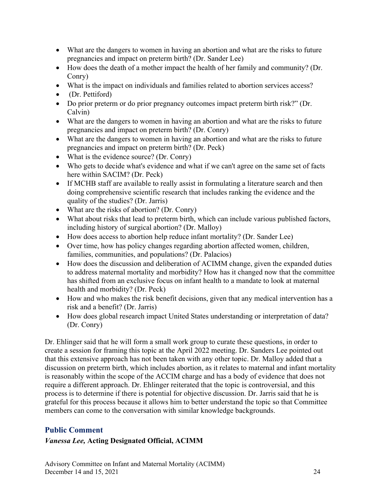- What are the dangers to women in having an abortion and what are the risks to future pregnancies and impact on preterm birth? (Dr. Sander Lee)
- How does the death of a mother impact the health of her family and community? (Dr. Conry)
- What is the impact on individuals and families related to abortion services access?
- (Dr. Pettiford)
- Do prior preterm or do prior pregnancy outcomes impact preterm birth risk?" (Dr. Calvin)
- What are the dangers to women in having an abortion and what are the risks to future pregnancies and impact on preterm birth? (Dr. Conry)
- What are the dangers to women in having an abortion and what are the risks to future pregnancies and impact on preterm birth? (Dr. Peck)
- What is the evidence source? (Dr. Conry)
- Who gets to decide what's evidence and what if we can't agree on the same set of facts here within SACIM? (Dr. Peck)
- If MCHB staff are available to really assist in formulating a literature search and then doing comprehensive scientific research that includes ranking the evidence and the quality of the studies? (Dr. Jarris)
- What are the risks of abortion? (Dr. Conry)
- What about risks that lead to preterm birth, which can include various published factors, including history of surgical abortion? (Dr. Malloy)
- How does access to abortion help reduce infant mortality? (Dr. Sander Lee)
- Over time, how has policy changes regarding abortion affected women, children, families, communities, and populations? (Dr. Palacios)
- How does the discussion and deliberation of ACIMM change, given the expanded duties to address maternal mortality and morbidity? How has it changed now that the committee has shifted from an exclusive focus on infant health to a mandate to look at maternal health and morbidity? (Dr. Peck)
- How and who makes the risk benefit decisions, given that any medical intervention has a risk and a benefit? (Dr. Jarris)
- How does global research impact United States understanding or interpretation of data? (Dr. Conry)

Dr. Ehlinger said that he will form a small work group to curate these questions, in order to create a session for framing this topic at the April 2022 meeting. Dr. Sanders Lee pointed out that this extensive approach has not been taken with any other topic. Dr. Malloy added that a discussion on preterm birth, which includes abortion, as it relates to maternal and infant mortality is reasonably within the scope of the ACCIM charge and has a body of evidence that does not require a different approach. Dr. Ehlinger reiterated that the topic is controversial, and this process is to determine if there is potential for objective discussion. Dr. Jarris said that he is grateful for this process because it allows him to better understand the topic so that Committee members can come to the conversation with similar knowledge backgrounds.

## <span id="page-25-0"></span>**Public Comment**

#### *Vanessa Lee,* **Acting Designated Official, ACIMM**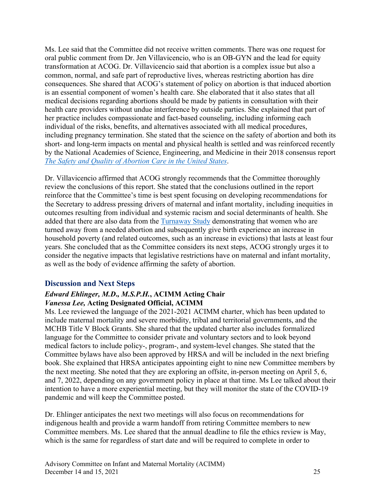Ms. Lee said that the Committee did not receive written comments. There was one request for oral public comment from Dr. Jen Villavicencio, who is an OB-GYN and the lead for equity transformation at ACOG. Dr. Villavicencio said that abortion is a complex issue but also a common, normal, and safe part of reproductive lives, whereas restricting abortion has dire consequences. She shared that ACOG's statement of policy on abortion is that induced abortion is an essential component of women's health care. She elaborated that it also states that all medical decisions regarding abortions should be made by patients in consultation with their health care providers without undue interference by outside parties. She explained that part of her practice includes compassionate and fact-based counseling, including informing each individual of the risks, benefits, and alternatives associated with all medical procedures, including pregnancy termination. She stated that the science on the safety of abortion and both its short- and long-term impacts on mental and physical health is settled and was reinforced recently by the National Academies of Science, Engineering, and Medicine in their 2018 consensus report *[The Safety and Quality of Abortion Care in the United States](https://www.nap.edu/catalog/24950/the-safety-and-quality-of-abortion-care-in-the-united-states)*.

Dr. Villavicencio affirmed that ACOG strongly recommends that the Committee thoroughly review the conclusions of this report. She stated that the conclusions outlined in the report reinforce that the Committee's time is best spent focusing on developing recommendations for the Secretary to address pressing drivers of maternal and infant mortality, including inequities in outcomes resulting from individual and systemic racism and social determinants of health. She added that there are also data from the [Turnaway Study](https://www.ansirh.org/research/ongoing/turnaway-study) demonstrating that women who are turned away from a needed abortion and subsequently give birth experience an increase in household poverty (and related outcomes, such as an increase in evictions) that lasts at least four years. She concluded that as the Committee considers its next steps, ACOG strongly urges it to consider the negative impacts that legislative restrictions have on maternal and infant mortality, as well as the body of evidence affirming the safety of abortion.

## <span id="page-26-0"></span>**Discussion and Next Steps**

#### *Edward Ehlinger, M.D***.***, M.S.P.H.***, ACIMM Acting Chair** *Vanessa Lee,* **Acting Designated Official, ACIMM**

Ms. Lee reviewed the language of the 2021-2021 ACIMM charter, which has been updated to include maternal mortality and severe morbidity, tribal and territorial governments, and the MCHB Title V Block Grants. She shared that the updated charter also includes formalized language for the Committee to consider private and voluntary sectors and to look beyond medical factors to include policy-, program-, and system-level changes. She stated that the Committee bylaws have also been approved by HRSA and will be included in the next briefing book. She explained that HRSA anticipates appointing eight to nine new Committee members by the next meeting. She noted that they are exploring an offsite, in-person meeting on April 5, 6, and 7, 2022, depending on any government policy in place at that time. Ms Lee talked about their intention to have a more experiential meeting, but they will monitor the state of the COVID-19 pandemic and will keep the Committee posted.

Dr. Ehlinger anticipates the next two meetings will also focus on recommendations for indigenous health and provide a warm handoff from retiring Committee members to new Committee members. Ms. Lee shared that the annual deadline to file the ethics review is May, which is the same for regardless of start date and will be required to complete in order to